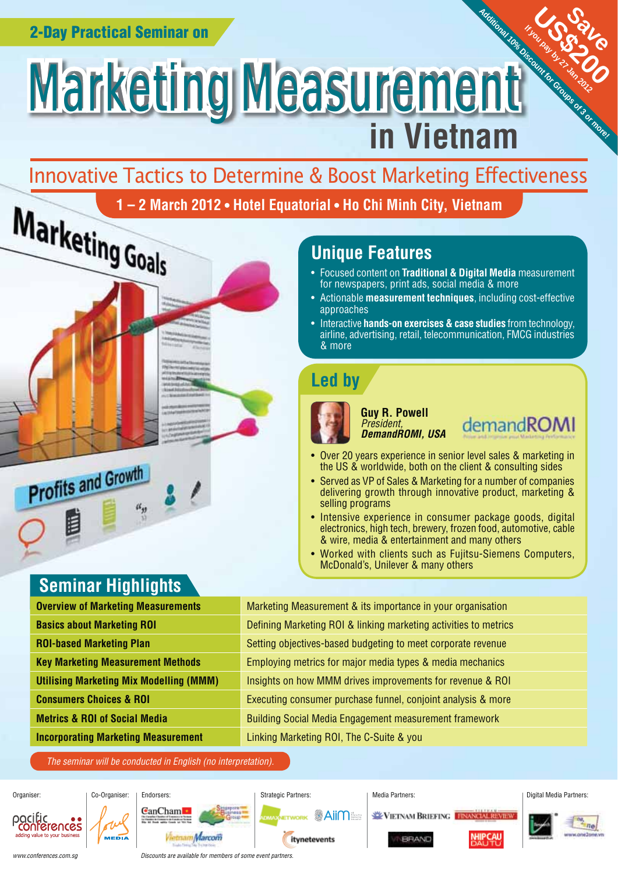# **Additional 10 or Manual 10 or Manual 10 or Manual 10 or Manual 10 or Manual 10 or Manual 10 or Manual 10 or Ma** Marketing Measurement **in Vietnam**

# Innovative Tactics to Determine & Boost Marketing Effectiveness

1 – 2 March 2012 • Hotel Equatorial • Ho Chi Minh City, Vietnam<br>
Unique Features<br>
Unique Features<br>
And Soptent on Traditional & Digital Me

## **Unique Features**

- Focused content on **Traditional & Digital Media** measurement for newspapers, print ads, social media & more
- Actionable **measurement techniques**, including cost-effective approaches
- Interactive **hands-on exercises & case studies** from technology, airline, advertising, retail, telecommunication, FMCG industries & more

# **Led by**



**Guy R. Powell** President, *DemandROMI, USA*

demandROMI

US OSTAL

If you pay by 27 Jan 2012

Save

- Over 20 years experience in senior level sales & marketing in the US & worldwide, both on the client & consulting sides
- Served as VP of Sales & Marketing for a number of companies delivering growth through innovative product, marketing & selling programs
- Intensive experience in consumer package goods, digital electronics, high tech, brewery, frozen food, automotive, cable & wire, media & entertainment and many others
- Worked with clients such as Fujitsu-Siemens Computers, McDonald's, Unilever & many others

| <b>Overview of Marketing Measurements</b>      | Marketing Measurement & its importance in your organisation      |  |
|------------------------------------------------|------------------------------------------------------------------|--|
| <b>Basics about Marketing ROI</b>              | Defining Marketing ROI & linking marketing activities to metrics |  |
| <b>ROI-based Marketing Plan</b>                | Setting objectives-based budgeting to meet corporate revenue     |  |
| <b>Key Marketing Measurement Methods</b>       | Employing metrics for major media types & media mechanics        |  |
| <b>Utilising Marketing Mix Modelling (MMM)</b> | Insights on how MMM drives improvements for revenue & ROI        |  |
| <b>Consumers Choices &amp; ROI</b>             | Executing consumer purchase funnel, conjoint analysis & more     |  |
| <b>Metrics &amp; ROI of Social Media</b>       | <b>Building Social Media Engagement measurement framework</b>    |  |
| <b>Incorporating Marketing Measurement</b>     | Linking Marketing ROI, The C-Suite & you                         |  |

The seminar will be conducted in English (no interpretation).



## **Seminar Highlights**

 $u_y$ 

**Profits and Growth** 

| <b>Overview of Marketing Measurements</b>      |
|------------------------------------------------|
| <b>Basics about Marketing ROI</b>              |
| <b>ROI-based Marketing Plan</b>                |
| <b>Key Marketing Measurement Methods</b>       |
| <b>Utilising Marketing Mix Modelling (MMM)</b> |
| <b>Consumers Choices &amp; ROI</b>             |
| <b>Metrics &amp; ROI of Social Media</b>       |
| <b>Incorporating Marketing Measurement</b>     |
|                                                |

www.conferences.com.sg

Discounts are available for members of some event partners.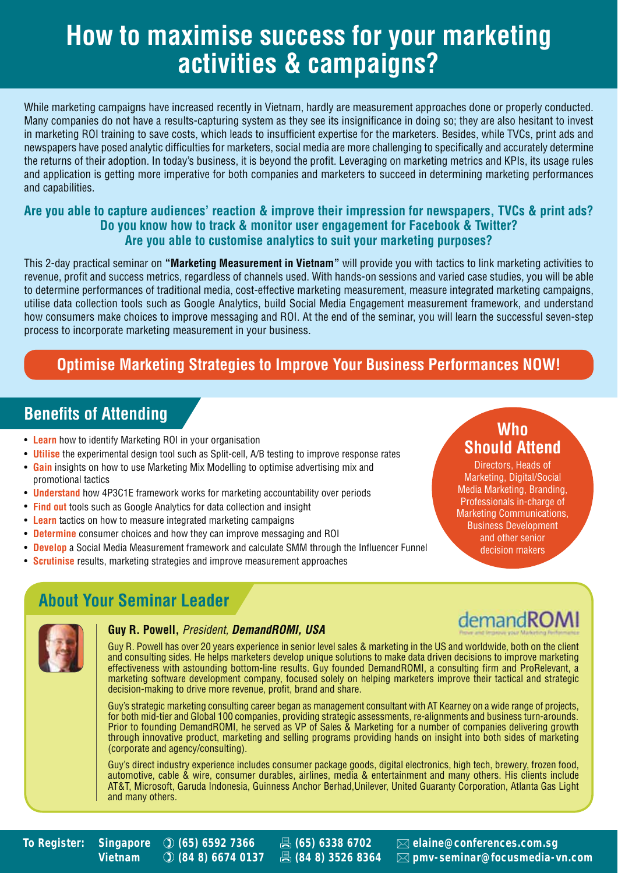# **How to maximise success for your marketing activities & campaigns?**

While marketing campaigns have increased recently in Vietnam, hardly are measurement approaches done or properly conducted. Many companies do not have a results-capturing system as they see its insignificance in doing so; they are also hesitant to invest in marketing ROI training to save costs, which leads to insufficient expertise for the marketers. Besides, while TVCs, print ads and newspapers have posed analytic difficulties for marketers, social media are more challenging to specifically and accurately determine the returns of their adoption. In today's business, it is beyond the profit. Leveraging on marketing metrics and KPIs, its usage rules and application is getting more imperative for both companies and marketers to succeed in determining marketing performances and capabilities.

#### **Are you able to capture audiences' reaction & improve their impression for newspapers, TVCs & print ads? Do you know how to track & monitor user engagement for Facebook & Twitter? Are you able to customise analytics to suit your marketing purposes?**

This 2-day practical seminar on **"Marketing Measurement in Vietnam"** will provide you with tactics to link marketing activities to revenue, profit and success metrics, regardless of channels used. With hands-on sessions and varied case studies, you will be able to determine performances of traditional media, cost-effective marketing measurement, measure integrated marketing campaigns, utilise data collection tools such as Google Analytics, build Social Media Engagement measurement framework, and understand how consumers make choices to improve messaging and ROI. At the end of the seminar, you will learn the successful seven-step process to incorporate marketing measurement in your business.

## **Optimise Marketing Strategies to Improve Your Business Performances NOW!**

## **Benefits of Attending**

- **Learn** how to identify Marketing ROI in your organisation
- **Utilise** the experimental design tool such as Split-cell, A/B testing to improve response rates
- **Gain** insights on how to use Marketing Mix Modelling to optimise advertising mix and promotional tactics
- **Understand** how 4P3C1E framework works for marketing accountability over periods
- **Find out** tools such as Google Analytics for data collection and insight
- **Learn** tactics on how to measure integrated marketing campaigns
- **Determine** consumer choices and how they can improve messaging and ROI
- **Develop** a Social Media Measurement framework and calculate SMM through the Influencer Funnel
- **Scrutinise** results, marketing strategies and improve measurement approaches

## **Who Should Attend**

Directors, Heads of Marketing, Digital/Social Media Marketing, Branding, Professionals in-charge of Marketing Communications, Business Development and other senior decision makers

demandROMI

## **About Your Seminar Leader**



#### **Guy R. Powell,** President, *DemandROMI, USA*

Guy R. Powell has over 20 years experience in senior level sales & marketing in the US and worldwide, both on the client and consulting sides. He helps marketers develop unique solutions to make data driven decisions to improve marketing effectiveness with astounding bottom-line results. Guy founded DemandROMI, a consulting firm and ProRelevant, a marketing software development company, focused solely on helping marketers improve their tactical and strategic decision-making to drive more revenue, profit, brand and share.

Guy's strategic marketing consulting career began as management consultant with AT Kearney on a wide range of projects, for both mid-tier and Global 100 companies, providing strategic assessments, re-alignments and business turn-arounds. Prior to founding DemandROMI, he served as VP of Sales & Marketing for a number of companies delivering growth through innovative product, marketing and selling programs providing hands on insight into both sides of marketing (corporate and agency/consulting).

Guy's direct industry experience includes consumer package goods, digital electronics, high tech, brewery, frozen food, automotive, cable & wire, consumer durables, airlines, media & entertainment and many others. His clients include AT&T, Microsoft, Garuda Indonesia, Guinness Anchor Berhad,Unilever, United Guaranty Corporation, Atlanta Gas Light and many others.



**To Register: Singapore (65) 6592 7366 (65) 6338 6702 elaine@conferences.com.sg Vietnam (84 8) 6674 0137 (84 8) 3526 8364 pmv-seminar@focusmedia-vn.com**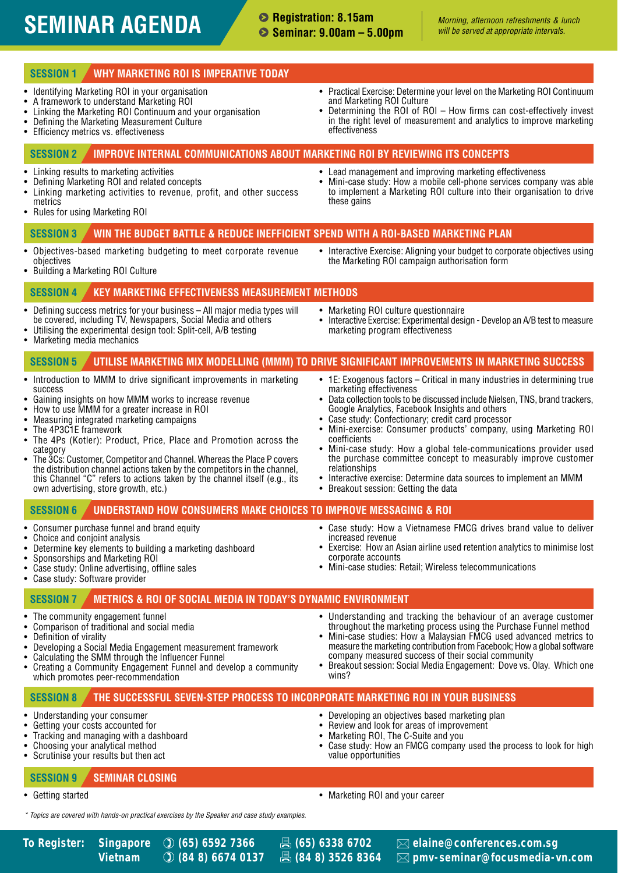# **SEMINAR AGENDA** Seminar: 0.00am - 5.00pm *Morning, afternoon refreshments & lunch*

#### **Registration: 8.15am Seminar: 9.00am – 5.00pm**

#### **SESSION 1 WHY MARKETING ROI IS IMPERATIVE TODAY**

- Identifying Marketing ROI in your organisation<br>• A framework to understand Marketing ROI
- A framework to understand Marketing ROI
- Linking the Marketing ROI Continuum and your organisation<br>• Defining the Marketing Measurement Culture
- Defining the Marketing Measurement Culture<br>• Efficiency metrics vs. effectiveness
- **Efficiency metrics vs. effectiveness**
- Practical Exercise: Determine your level on the Marketing ROI Continuum and Marketing ROI Culture
- Determining the ROI of ROI How firms can cost-effectively invest in the right level of measurement and analytics to improve marketing effectiveness

#### **SESSION 2 IMPROVE INTERNAL COMMUNICATIONS ABOUT MARKETING ROI BY REVIEWING ITS CONCEPTS**

- Linking results to marketing activities<br>• Defining Marketing BOL and related co
- Defining Marketing ROI and related concepts
- Linking marketing activities to revenue, profit, and other success metrics
- Rules for using Marketing ROI

these gains

• Mini-case study: How a mobile cell-phone services company was able to implement a Marketing ROI culture into their organisation to drive

• Lead management and improving marketing effectiveness

#### **SESSION 3 WIN THE BUDGET BATTLE & REDUCE INEFFICIENT SPEND WITH A ROI-BASED MARKETING PLAN**

- Objectives-based marketing budgeting to meet corporate revenue objectives
- Interactive Exercise: Aligning your budget to corporate objectives using the Marketing ROI campaign authorisation form

• Interactive Exercise: Experimental design - Develop an A/B test to measure

• Building a Marketing ROI Culture

#### **SESSION 4 KEY MARKETING EFFECTIVENESS MEASUREMENT METHODS**

• Defining success metrics for your business – All major media types will be covered, including TV, Newspapers, Social Media and others

• Introduction to MMM to drive significant improvements in marketing

The 4Ps (Kotler): Product, Price, Place and Promotion across the

• The 3Cs: Customer, Competitor and Channel. Whereas the Place P covers the distribution channel actions taken by the competitors in the channel, this Channel "C" refers to actions taken by the channel itself (e.g., its

• Utilising the experimental design tool: Split-cell, A/B testing<br>• Marketing media mechanics

Gaining insights on how MMM works to increase revenue

• How to use MMM for a greater increase in ROI • Measuring integrated marketing campaigns

• Marketing media mechanics

• The 4P3C1E framework

success

category

#### **SESSION 5 UTILISE MARKETING MIX MODELLING (MMM) TO DRIVE SIGNIFICANT IMPROVEMENTS IN MARKETING SUCCESS**  • 1E: Exogenous factors – Critical in many industries in determining true

- marketing effectiveness • Data collection tools to be discussed include Nielsen, TNS, brand trackers,
- Google Analytics, Facebook Insights and others
- Case study: Confectionary; credit card processor
- Mini-exercise: Consumer products' company, using Marketing ROI coefficients
- Mini-case study: How a global tele-communications provider used the purchase committee concept to measurably improve customer relationships

• Case study: How a Vietnamese FMCG drives brand value to deliver

• Exercise: How an Asian airline used retention analytics to minimise lost

• Mini-case studies: Retail; Wireless telecommunications

• Developing an objectives based marketing plan • Review and look for areas of improvement • Marketing ROI, The C-Suite and you

- Interactive exercise: Determine data sources to implement an MMM
- Breakout session: Getting the data

increased revenue

corporate accounts

• Marketing ROI culture questionnaire

marketing program effectiveness

#### **SESSION 6 UNDERSTAND HOW CONSUMERS MAKE CHOICES TO IMPROVE MESSAGING & ROI**

• Consumer purchase funnel and brand equity

own advertising, store growth, etc.)

- Choice and conjoint analysis
- Determine key elements to building a marketing dashboard
- Sponsorships and Marketing ROI
- Case study: Online advertising, offline sales
- Case study: Software provider

#### **SESSION 7 METRICS & ROI OF SOCIAL MEDIA IN TODAY'S DYNAMIC ENVIRONMENT**

- The community engagement funnel<br>• Comparison of traditional and social
- Comparison of traditional and social media
- Definition of virality
- Developing a Social Media Engagement measurement framework
- Calculating the SMM through the Influencer Funnel
- Creating a Community Engagement Funnel and develop a community which promotes peer-recommendation
- Understanding and tracking the behaviour of an average customer throughout the marketing process using the Purchase Funnel method
- Mini-case studies: How a Malaysian FMCG used advanced metrics to measure the marketing contribution from Facebook; How a global software company measured success of their social community
- Breakout session: Social Media Engagement: Dove vs. Olay. Which one wins?

• Case study: How an FMCG company used the process to look for high

#### **SESSION 8 THE SUCCESSFUL SEVEN-STEP PROCESS TO INCORPORATE MARKETING ROI IN YOUR BUSINESS**

- Understanding your consumer
- Getting your costs accounted for
- Tracking and managing with a dashboard
- Choosing your analytical method
- Scrutinise your results but then act

#### **SESSION 9 SEMINAR CLOSING**

- 
- Getting started Marketing ROI and your career

value opportunities

\* Topics are covered with hands-on practical exercises by the Speaker and case study examples.

**To Register: Singapore (65) 6592 7366 (65) 6338 6702 elaine@conferences.com.sg Vietnam (84 8) 6674 0137 (84 8) 3526 8364 pmv-seminar@focusmedia-vn.com**